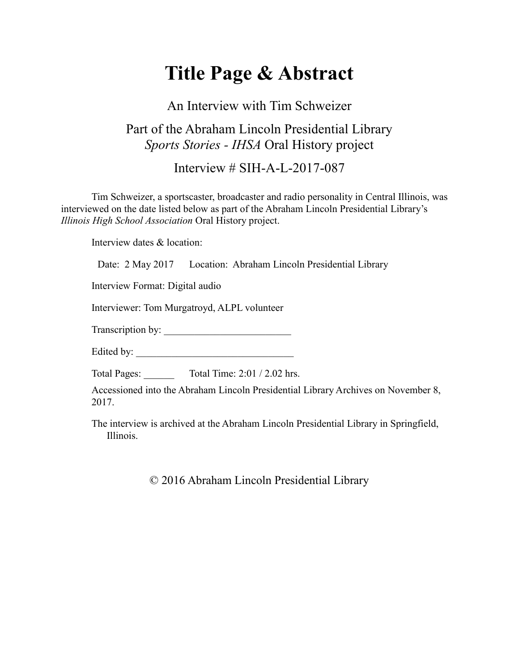## **Title Page & Abstract**

## An Interview with Tim Schweizer Part of the Abraham Lincoln Presidential Library *Sports Stories - IHSA* Oral History project

Interview # SIH-A-L-2017-087

Tim Schweizer, a sportscaster, broadcaster and radio personality in Central Illinois, was interviewed on the date listed below as part of the Abraham Lincoln Presidential Library's *Illinois High School Association* Oral History project.

Interview dates & location:

Date: 2 May 2017 Location: Abraham Lincoln Presidential Library

Interview Format: Digital audio

Interviewer: Tom Murgatroyd, ALPL volunteer

Transcription by: \_\_\_\_\_\_\_\_\_\_\_\_\_\_\_\_\_\_\_\_\_\_\_\_\_

Edited by: \_\_\_\_\_\_\_\_\_\_\_\_\_\_\_\_\_\_\_\_\_\_\_\_\_\_\_\_\_\_\_

Total Pages: Total Time: 2:01 / 2.02 hrs.

Accessioned into the Abraham Lincoln Presidential Library Archives on November 8, 2017.

The interview is archived at the Abraham Lincoln Presidential Library in Springfield, Illinois.

© 2016 Abraham Lincoln Presidential Library